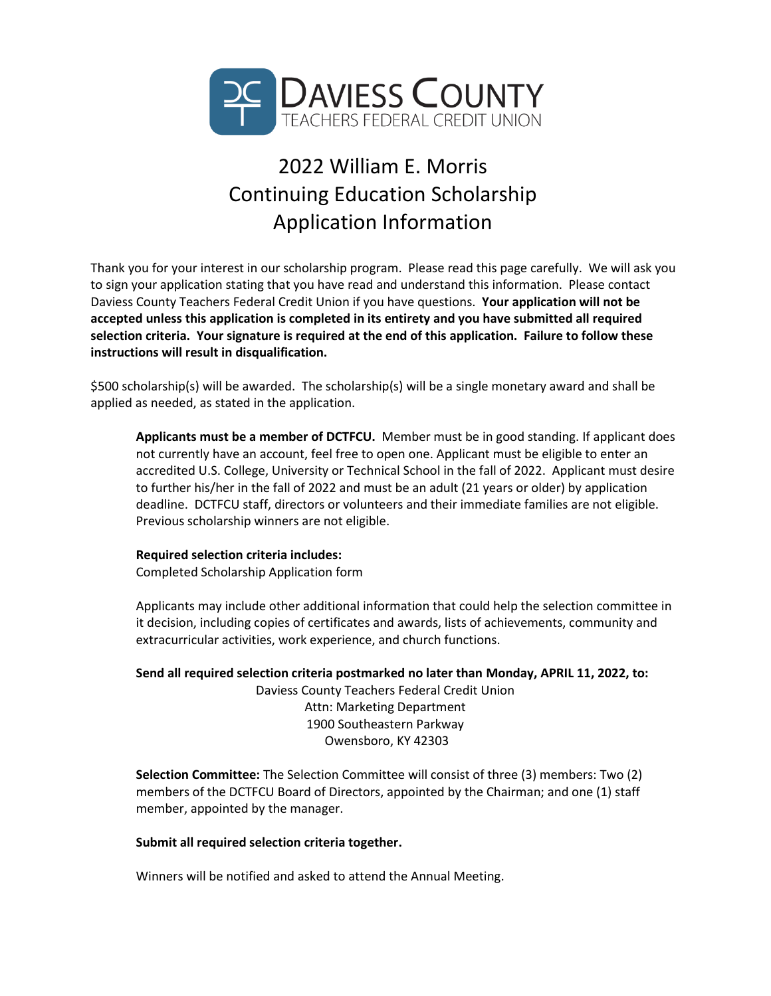

## 2022 William E. Morris Continuing Education Scholarship Application Information

Thank you for your interest in our scholarship program. Please read this page carefully. We will ask you to sign your application stating that you have read and understand this information. Please contact Daviess County Teachers Federal Credit Union if you have questions. **Your application will not be accepted unless this application is completed in its entirety and you have submitted all required selection criteria. Your signature is required at the end of this application. Failure to follow these instructions will result in disqualification.**

\$500 scholarship(s) will be awarded. The scholarship(s) will be a single monetary award and shall be applied as needed, as stated in the application.

**Applicants must be a member of DCTFCU.** Member must be in good standing. If applicant does not currently have an account, feel free to open one. Applicant must be eligible to enter an accredited U.S. College, University or Technical School in the fall of 2022. Applicant must desire to further his/her in the fall of 2022 and must be an adult (21 years or older) by application deadline. DCTFCU staff, directors or volunteers and their immediate families are not eligible. Previous scholarship winners are not eligible.

## **Required selection criteria includes:**

Completed Scholarship Application form

Applicants may include other additional information that could help the selection committee in it decision, including copies of certificates and awards, lists of achievements, community and extracurricular activities, work experience, and church functions.

**Send all required selection criteria postmarked no later than Monday, APRIL 11, 2022, to:** Daviess County Teachers Federal Credit Union Attn: Marketing Department 1900 Southeastern Parkway Owensboro, KY 42303

**Selection Committee:** The Selection Committee will consist of three (3) members: Two (2) members of the DCTFCU Board of Directors, appointed by the Chairman; and one (1) staff member, appointed by the manager.

## **Submit all required selection criteria together.**

Winners will be notified and asked to attend the Annual Meeting.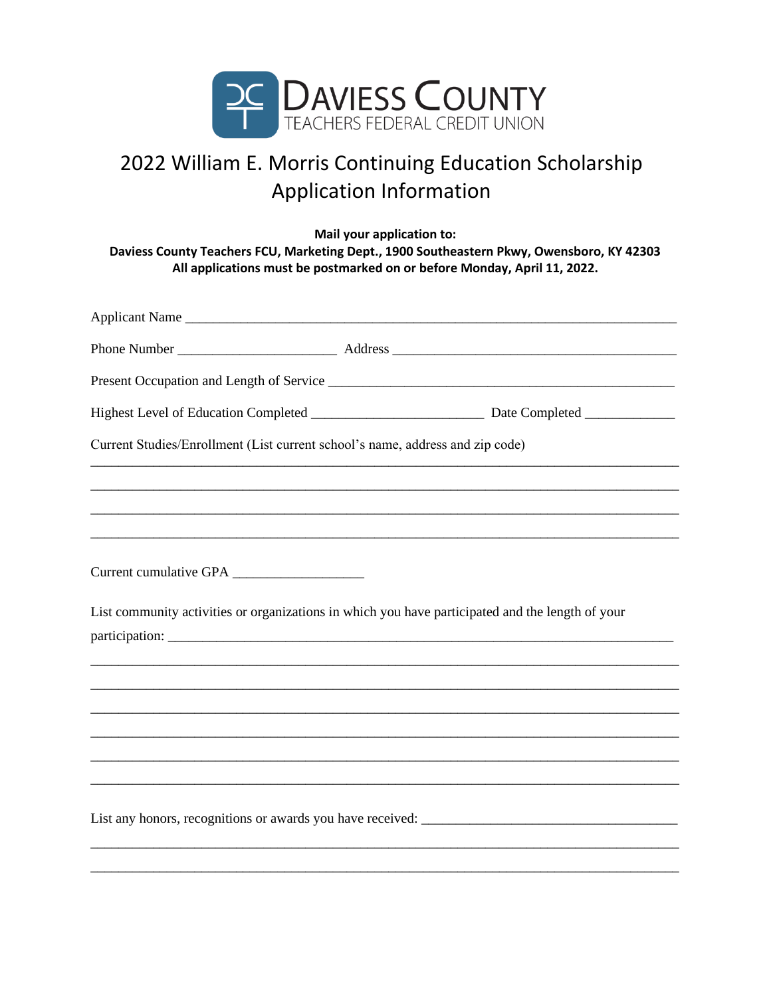

## 2022 William E. Morris Continuing Education Scholarship **Application Information**

Mail your application to: Daviess County Teachers FCU, Marketing Dept., 1900 Southeastern Pkwy, Owensboro, KY 42303 All applications must be postmarked on or before Monday, April 11, 2022.